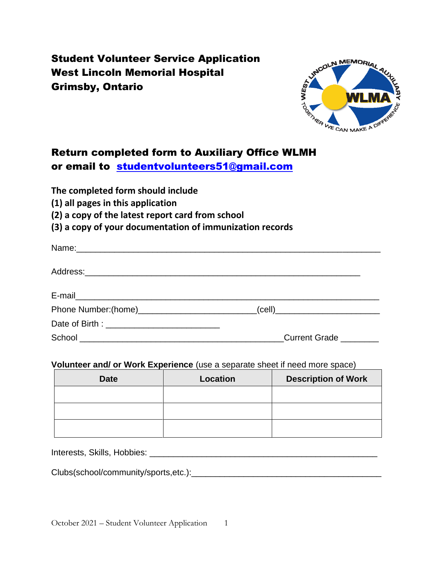# Student Volunteer Service Application West Lincoln Memorial Hospital Grimsby, Ontario



## Return completed form to Auxiliary Office WLMH or email to [studentvolunteers51@gmail.com](mailto:studentvolunteers51@gmail.com)

**The completed form should include** 

**(1) all pages in this application**

**(2) a copy of the latest report card from school**

**(3) a copy of your documentation of immunization records**

| _(cell <u>)</u> ______________________________ |
|------------------------------------------------|
|                                                |
| Current Grade ________                         |

### **Volunteer and/ or Work Experience** (use a separate sheet if need more space)

| <b>Date</b> | <b>Description of Work</b><br>Location |  |
|-------------|----------------------------------------|--|
|             |                                        |  |
|             |                                        |  |
|             |                                        |  |

Interests, Skills, Hobbies: \_\_\_\_\_\_\_\_\_\_\_\_\_\_\_\_\_\_\_\_\_\_\_\_\_\_\_\_\_\_\_\_\_\_\_\_\_\_\_\_\_\_\_\_\_\_\_\_

Clubs(school/community/sports,etc.):\_\_\_\_\_\_\_\_\_\_\_\_\_\_\_\_\_\_\_\_\_\_\_\_\_\_\_\_\_\_\_\_\_\_\_\_\_\_\_\_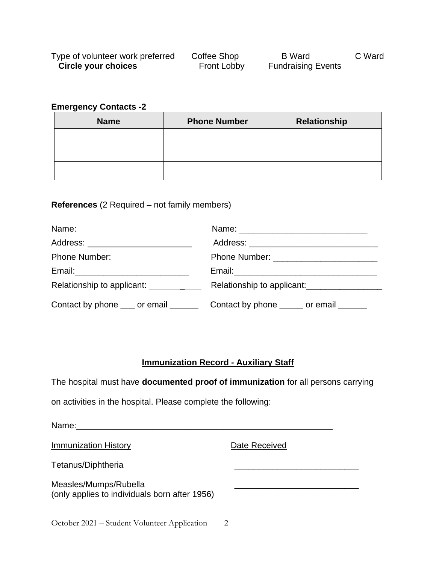| Type of volunteer work preferred | Coffee Shop        | <b>B</b> Ward             | C Ward |
|----------------------------------|--------------------|---------------------------|--------|
| Circle your choices              | <b>Front Lobby</b> | <b>Fundraising Events</b> |        |

#### **Emergency Contacts -2**

| <b>Name</b> | <b>Phone Number</b> | <b>Relationship</b> |  |
|-------------|---------------------|---------------------|--|
|             |                     |                     |  |
|             |                     |                     |  |
|             |                     |                     |  |

#### **References** (2 Required – not family members)

| Address: _________________________             |                                                                                     |  |
|------------------------------------------------|-------------------------------------------------------------------------------------|--|
| Phone Number: ___________________              |                                                                                     |  |
|                                                |                                                                                     |  |
| Relationship to applicant: <u>_______</u> ____ | Relationship to applicant:                                                          |  |
|                                                | Contact by phone ____ or email ___________ Contact by phone ______ or email _______ |  |

### **Immunization Record - Auxiliary Staff**

The hospital must have **documented proof of immunization** for all persons carrying

on activities in the hospital. Please complete the following:

| Name:                                                                  |               |
|------------------------------------------------------------------------|---------------|
| <b>Immunization History</b>                                            | Date Received |
| Tetanus/Diphtheria                                                     |               |
| Measles/Mumps/Rubella<br>(only applies to individuals born after 1956) |               |
| October 2021 – Student Volunteer Application                           | 2             |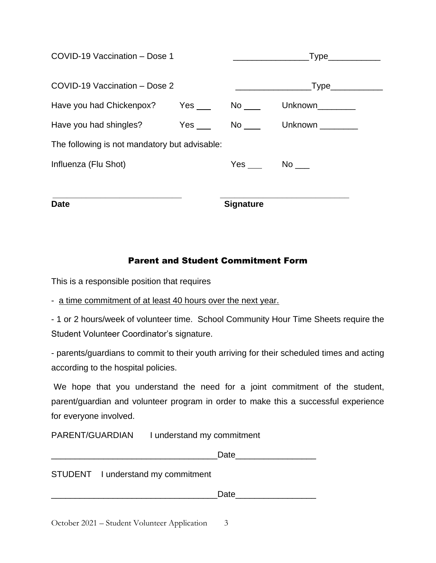| <b>Date</b>                                   | <b>Signature</b>    |                                                                                                                                                                                                                                                                                                                                                                                      |
|-----------------------------------------------|---------------------|--------------------------------------------------------------------------------------------------------------------------------------------------------------------------------------------------------------------------------------------------------------------------------------------------------------------------------------------------------------------------------------|
| Influenza (Flu Shot)                          | $Yes$ $No$ $\qquad$ |                                                                                                                                                                                                                                                                                                                                                                                      |
| The following is not mandatory but advisable: |                     |                                                                                                                                                                                                                                                                                                                                                                                      |
|                                               |                     |                                                                                                                                                                                                                                                                                                                                                                                      |
| Have you had Chickenpox? Yes No               |                     | Unknown________                                                                                                                                                                                                                                                                                                                                                                      |
| COVID-19 Vaccination - Dose 2                 |                     |                                                                                                                                                                                                                                                                                                                                                                                      |
| COVID-19 Vaccination - Dose 1                 |                     | $\overline{y}$ $\overline{y}$ $\overline{y}$ $\overline{y}$ $\overline{y}$ $\overline{y}$ $\overline{y}$ $\overline{y}$ $\overline{y}$ $\overline{y}$ $\overline{y}$ $\overline{y}$ $\overline{y}$ $\overline{y}$ $\overline{y}$ $\overline{y}$ $\overline{y}$ $\overline{y}$ $\overline{y}$ $\overline{y}$ $\overline{y}$ $\overline{y}$ $\overline{y}$ $\overline{y}$ $\overline{$ |
|                                               |                     |                                                                                                                                                                                                                                                                                                                                                                                      |

### Parent and Student Commitment Form

This is a responsible position that requires

- a time commitment of at least 40 hours over the next year.

- 1 or 2 hours/week of volunteer time. School Community Hour Time Sheets require the Student Volunteer Coordinator's signature.

- parents/guardians to commit to their youth arriving for their scheduled times and acting according to the hospital policies.

We hope that you understand the need for a joint commitment of the student, parent/guardian and volunteer program in order to make this a successful experience for everyone involved.

PARENT/GUARDIAN I understand my commitment

Date and the set of  $\overline{a}$ 

#### STUDENT I understand my commitment

Date and the set of  $\overline{D}$ 

October 2021 – Student Volunteer Application 3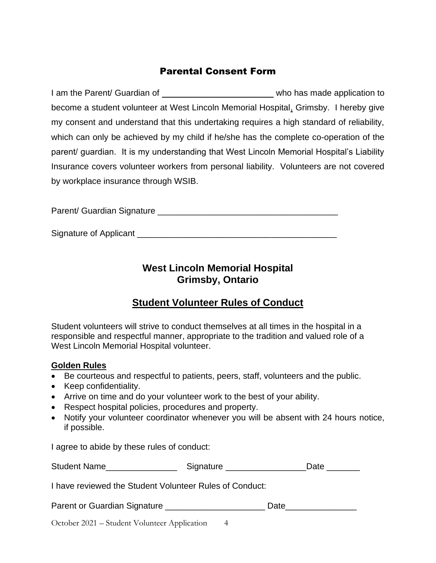### Parental Consent Form

I am the Parent/ Guardian of who has made application to become a student volunteer at West Lincoln Memorial Hospital, Grimsby. I hereby give my consent and understand that this undertaking requires a high standard of reliability, which can only be achieved by my child if he/she has the complete co-operation of the parent/ guardian. It is my understanding that West Lincoln Memorial Hospital's Liability Insurance covers volunteer workers from personal liability. Volunteers are not covered by workplace insurance through WSIB.

Parent/ Guardian Signature \_\_\_\_\_\_\_\_\_\_\_\_\_\_\_\_\_\_\_\_\_\_\_\_\_\_\_\_\_\_\_\_\_\_\_\_\_\_

Signature of Applicant \_\_\_\_\_\_\_\_\_\_\_\_\_\_\_\_\_\_\_\_\_\_\_\_\_\_\_\_\_\_\_\_\_\_\_\_\_\_\_\_\_\_

### **West Lincoln Memorial Hospital Grimsby, Ontario**

## **Student Volunteer Rules of Conduct**

Student volunteers will strive to conduct themselves at all times in the hospital in a responsible and respectful manner, appropriate to the tradition and valued role of a West Lincoln Memorial Hospital volunteer.

#### **Golden Rules**

- Be courteous and respectful to patients, peers, staff, volunteers and the public.
- Keep confidentiality.
- Arrive on time and do your volunteer work to the best of your ability.
- Respect hospital policies, procedures and property.
- Notify your volunteer coordinator whenever you will be absent with 24 hours notice, if possible.

I agree to abide by these rules of conduct:

| <b>Student Name</b> | Signature | Date |
|---------------------|-----------|------|
|---------------------|-----------|------|

I have reviewed the Student Volunteer Rules of Conduct:

| Parent or Guardian Signature | Date |
|------------------------------|------|
|------------------------------|------|

October 2021 – Student Volunteer Application 4